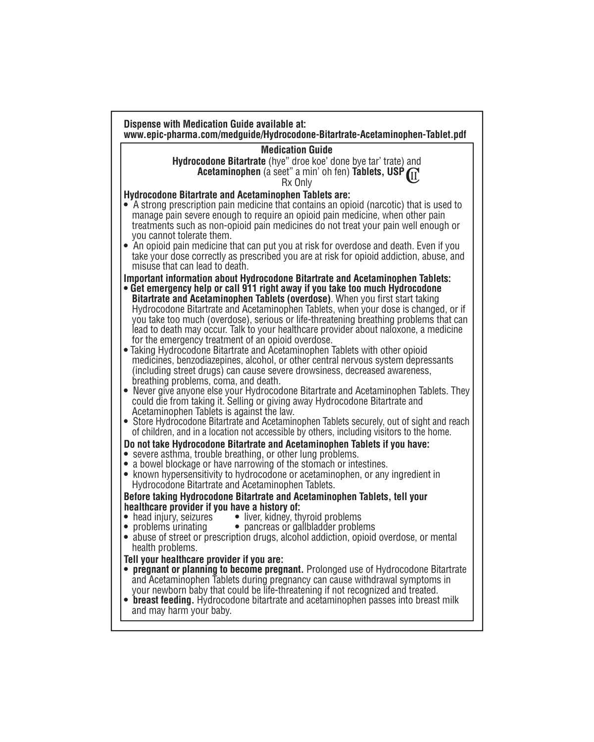| <b>Medication Guide</b>                                                                                                                                                                                                                                                                                                                                                                                                                                                                   |  |
|-------------------------------------------------------------------------------------------------------------------------------------------------------------------------------------------------------------------------------------------------------------------------------------------------------------------------------------------------------------------------------------------------------------------------------------------------------------------------------------------|--|
| Hydrocodone Bitartrate (hye" droe koe' done bye tar' trate) and                                                                                                                                                                                                                                                                                                                                                                                                                           |  |
| Acetaminophen (a seet" a min' oh fen) Tablets, USP (II<br>Rx Only                                                                                                                                                                                                                                                                                                                                                                                                                         |  |
| <b>Hydrocodone Bitartrate and Acetaminophen Tablets are:</b>                                                                                                                                                                                                                                                                                                                                                                                                                              |  |
| A strong prescription pain medicine that contains an opioid (narcotic) that is used to<br>manage pain severe enough to require an opioid pain medicine, when other pain<br>treatments such as non-opioid pain medicines do not treat your pain well enough or<br>you cannot tolerate them.                                                                                                                                                                                                |  |
| • An opioid pain medicine that can put you at risk for overdose and death. Even if you<br>take your dose correctly as prescribed you are at risk for opioid addiction, abuse, and<br>misuse that can lead to death.                                                                                                                                                                                                                                                                       |  |
| <b>Important information about Hydrocodone Bitartrate and Acetaminophen Tablets:</b>                                                                                                                                                                                                                                                                                                                                                                                                      |  |
| • Get emergency help or call 911 right away if you take too much Hydrocodone<br>Bitartrate and Acetaminophen Tablets (overdose). When you first start taking<br>Hydrocodone Bitartrate and Acetaminophen Tablets, when your dose is changed, or if<br>you take too much (overdose), serious or life-threatening breathing problems that can<br>lead to death may occur. Talk to your healthcare provider about naloxone, a medicine<br>for the emergency treatment of an opioid overdose. |  |
| • Taking Hydrocodone Bitartrate and Acetaminophen Tablets with other opioid<br>medicines, benzodiazepines, alcohol, or other central nervous system depressants<br>(including street drugs) can cause severe drowsiness, decreased awareness,<br>breathing problems, coma, and death.<br>• Never give anyone else your Hydrocodone Bitartrate and Acetaminophen Tablets. They                                                                                                             |  |
| could die from taking it. Selling or giving away Hydrocodone Bitartrate and<br>Acetaminophen Tablets is against the law.<br>• Store Hydrocodone Bitartrate and Acetaminophen Tablets securely, out of sight and reach<br>of children, and in a location not accessible by others, including visitors to the home.                                                                                                                                                                         |  |
| Do not take Hydrocodone Bitartrate and Acetaminophen Tablets if you have:                                                                                                                                                                                                                                                                                                                                                                                                                 |  |
| • severe asthma, trouble breathing, or other lung problems.                                                                                                                                                                                                                                                                                                                                                                                                                               |  |
| • a bowel blockage or have narrowing of the stomach or intestines.<br>• known hypersensitivity to hydrocodone or acetaminophen, or any ingredient in<br>Hydrocodone Bitartrate and Acetaminophen Tablets.                                                                                                                                                                                                                                                                                 |  |
| Before taking Hydrocodone Bitartrate and Acetaminophen Tablets, tell your                                                                                                                                                                                                                                                                                                                                                                                                                 |  |
| healthcare provider if you have a history of:                                                                                                                                                                                                                                                                                                                                                                                                                                             |  |
| • liver, kidney, thyroid problems<br>$\bullet\,$ head injury, seizures<br>• pancreas or gallbladder problems<br>$\bullet\,$ problems urinating                                                                                                                                                                                                                                                                                                                                            |  |
| • abuse of street or prescription drugs, alcohol addiction, opioid overdose, or mental<br>health problems.                                                                                                                                                                                                                                                                                                                                                                                |  |
| Tell your healthcare provider if you are:                                                                                                                                                                                                                                                                                                                                                                                                                                                 |  |
| pregnant or planning to become pregnant. Prolonged use of Hydrocodone Bitartrate<br>and Acetaminophen Tablets during pregnancy can cause withdrawal symptoms in                                                                                                                                                                                                                                                                                                                           |  |
| your newborn baby that could be life-threatening if not recognized and treated.<br>• breast feeding. Hydrocodone bitartrate and acetaminophen passes into breast milk                                                                                                                                                                                                                                                                                                                     |  |
| and may harm your baby.                                                                                                                                                                                                                                                                                                                                                                                                                                                                   |  |